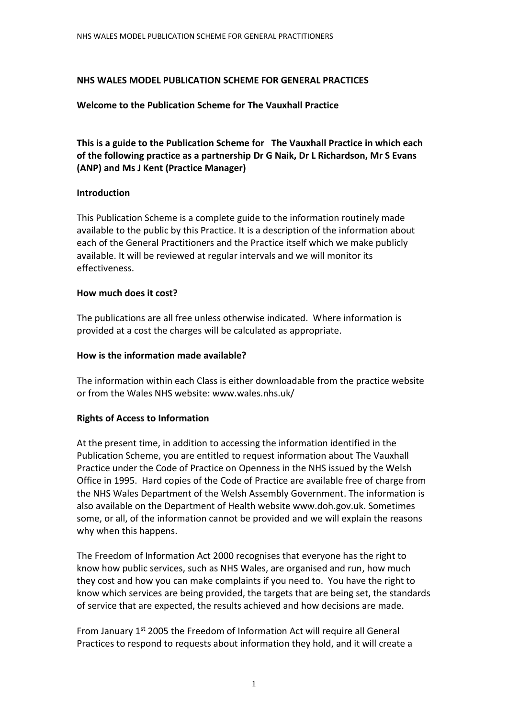### **NHS WALES MODEL PUBLICATION SCHEME FOR GENERAL PRACTICES**

#### **Welcome to the Publication Scheme for The Vauxhall Practice**

**This is a guide to the Publication Scheme for The Vauxhall Practice in which each of the following practice as a partnership Dr G Naik, Dr L Richardson, Mr S Evans (ANP) and Ms J Kent (Practice Manager)**

#### **Introduction**

This Publication Scheme is a complete guide to the information routinely made available to the public by this Practice. It is a description of the information about each of the General Practitioners and the Practice itself which we make publicly available. It will be reviewed at regular intervals and we will monitor its effectiveness.

#### **How much does it cost?**

The publications are all free unless otherwise indicated. Where information is provided at a cost the charges will be calculated as appropriate.

#### **How is the information made available?**

The information within each Class is either downloadable from the practice website or from the Wales NHS website: www.wales.nhs.uk/

## **Rights of Access to Information**

At the present time, in addition to accessing the information identified in the Publication Scheme, you are entitled to request information about The Vauxhall Practice under the Code of Practice on Openness in the NHS issued by the Welsh Office in 1995. Hard copies of the Code of Practice are available free of charge from the NHS Wales Department of the Welsh Assembly Government. The information is also available on the Department of Health website www.doh.gov.uk. Sometimes some, or all, of the information cannot be provided and we will explain the reasons why when this happens.

The Freedom of Information Act 2000 recognises that everyone has the right to know how public services, such as NHS Wales, are organised and run, how much they cost and how you can make complaints if you need to. You have the right to know which services are being provided, the targets that are being set, the standards of service that are expected, the results achieved and how decisions are made.

From January 1st 2005 the Freedom of Information Act will require all General Practices to respond to requests about information they hold, and it will create a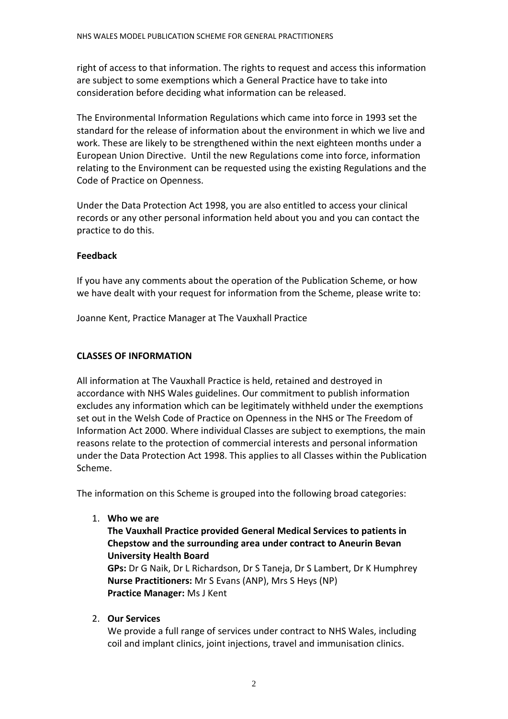right of access to that information. The rights to request and access this information are subject to some exemptions which a General Practice have to take into consideration before deciding what information can be released.

The Environmental Information Regulations which came into force in 1993 set the standard for the release of information about the environment in which we live and work. These are likely to be strengthened within the next eighteen months under a European Union Directive. Until the new Regulations come into force, information relating to the Environment can be requested using the existing Regulations and the Code of Practice on Openness.

Under the Data Protection Act 1998, you are also entitled to access your clinical records or any other personal information held about you and you can contact the practice to do this.

## **Feedback**

If you have any comments about the operation of the Publication Scheme, or how we have dealt with your request for information from the Scheme, please write to:

Joanne Kent, Practice Manager at The Vauxhall Practice

# **CLASSES OF INFORMATION**

All information at The Vauxhall Practice is held, retained and destroyed in accordance with NHS Wales guidelines. Our commitment to publish information excludes any information which can be legitimately withheld under the exemptions set out in the Welsh Code of Practice on Openness in the NHS or The Freedom of Information Act 2000. Where individual Classes are subject to exemptions, the main reasons relate to the protection of commercial interests and personal information under the Data Protection Act 1998. This applies to all Classes within the Publication Scheme.

The information on this Scheme is grouped into the following broad categories:

1. **Who we are**

# **The Vauxhall Practice provided General Medical Services to patients in Chepstow and the surrounding area under contract to Aneurin Bevan University Health Board**

**GPs:** Dr G Naik, Dr L Richardson, Dr S Taneja, Dr S Lambert, Dr K Humphrey **Nurse Practitioners:** Mr S Evans (ANP), Mrs S Heys (NP) **Practice Manager:** Ms J Kent

2. **Our Services**

We provide a full range of services under contract to NHS Wales, including coil and implant clinics, joint injections, travel and immunisation clinics.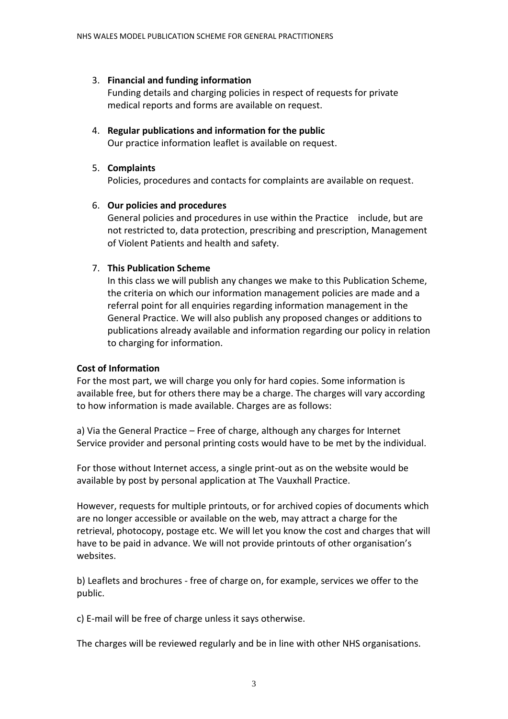# 3. **Financial and funding information**

Funding details and charging policies in respect of requests for private medical reports and forms are available on request.

4. **Regular publications and information for the public** Our practice information leaflet is available on request.

# 5. **Complaints**

Policies, procedures and contacts for complaints are available on request.

# 6. **Our policies and procedures**

General policies and procedures in use within the Practice include, but are not restricted to, data protection, prescribing and prescription, Management of Violent Patients and health and safety.

# 7. **This Publication Scheme**

In this class we will publish any changes we make to this Publication Scheme, the criteria on which our information management policies are made and a referral point for all enquiries regarding information management in the General Practice. We will also publish any proposed changes or additions to publications already available and information regarding our policy in relation to charging for information.

# **Cost of Information**

For the most part, we will charge you only for hard copies. Some information is available free, but for others there may be a charge. The charges will vary according to how information is made available. Charges are as follows:

a) Via the General Practice – Free of charge, although any charges for Internet Service provider and personal printing costs would have to be met by the individual.

For those without Internet access, a single print-out as on the website would be available by post by personal application at The Vauxhall Practice.

However, requests for multiple printouts, or for archived copies of documents which are no longer accessible or available on the web, may attract a charge for the retrieval, photocopy, postage etc. We will let you know the cost and charges that will have to be paid in advance. We will not provide printouts of other organisation's websites.

b) Leaflets and brochures - free of charge on, for example, services we offer to the public.

c) E-mail will be free of charge unless it says otherwise.

The charges will be reviewed regularly and be in line with other NHS organisations.